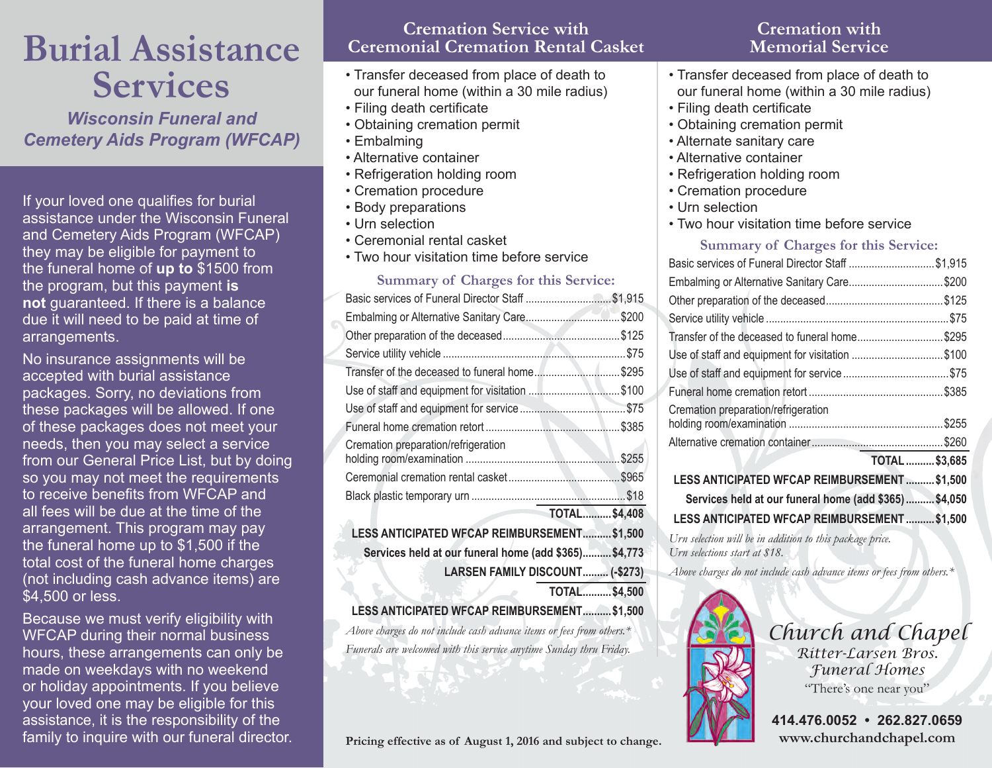# **Burial Assistance Services**

*Wisconsin Funeral and Cemetery Aids Program (WFCAP)*

If your loved one qualifies for burial assistance under the Wisconsin Funeral and Cemetery Aids Program (WFCAP) they may be eligible for payment to the funeral home of **up to** \$1500 from the program, but this payment **is not** guaranteed. If there is a balance due it will need to be paid at time of arrangements.

No insurance assignments will be accepted with burial assistance packages. Sorry, no deviations from these packages will be allowed. If one of these packages does not meet your needs, then you may select a service from our General Price List, but by doing so you may not meet the requirements to receive benefits from WFCAP and all fees will be due at the time of the arrangement. This program may pay the funeral home up to \$1,500 if the total cost of the funeral home charges (not including cash advance items) are \$4,500 or less.

Because we must verify eligibility with WFCAP during their normal business hours, these arrangements can only be made on weekdays with no weekend or holiday appointments. If you believe your loved one may be eligible for this assistance, it is the responsibility of the family to inquire with our funeral director.

#### **Cremation Service with Ceremonial Cremation Rental Casket**

- Transfer deceased from place of death to our funeral home (within a 30 mile radius)
- Filing death certificate
- Obtaining cremation permit
- Embalming
- Alternative container
- Refrigeration holding room
- Cremation procedure
- Body preparations
- Urn selection
- Ceremonial rental casket
- Two hour visitation time before service

#### **Summary of Charges for this Service:**

| Basic services of Funeral Director Staff \$1,915      |                     |  |
|-------------------------------------------------------|---------------------|--|
| Embalming or Alternative Sanitary Care\$200           |                     |  |
|                                                       |                     |  |
|                                                       |                     |  |
| Transfer of the deceased to funeral home\$295         |                     |  |
| Use of staff and equipment for visitation \$100       |                     |  |
|                                                       |                     |  |
|                                                       |                     |  |
| Cremation preparation/refrigeration                   |                     |  |
|                                                       |                     |  |
|                                                       |                     |  |
|                                                       | <b>TOTAL\$4,408</b> |  |
| LESS ANTICIPATED WFCAP REIMBURSEMENT\$1,500           |                     |  |
| Services held at our funeral home (add \$365) \$4,773 |                     |  |
| LARSEN FAMILY DISCOUNT (-\$273)                       |                     |  |
|                                                       | <b>TOTAL\$4,500</b> |  |

**LESS ANTICIPATED WFCAP REIMBURSEMENT...........\$1,500**

*Above charges do not include cash advance items or fees from others.\* Funerals are welcomed with this service anytime Sunday thru Friday.*

**Pricing effective as of August 1, 2016 and subject to change.**

# **Cremation with Memorial Service**

- Transfer deceased from place of death to our funeral home (within a 30 mile radius)
- Filing death certificate
- Obtaining cremation permit
- Alternate sanitary care
- Alternative container
- Refrigeration holding room
- Cremation procedure
- Urn selection
- Two hour visitation time before service

#### **Summary of Charges for this Service:**

| Basic services of Funeral Director Staff \$1,915      |                      |
|-------------------------------------------------------|----------------------|
| Embalming or Alternative Sanitary Care\$200           |                      |
|                                                       |                      |
|                                                       |                      |
| Transfer of the deceased to funeral home\$295         |                      |
| Use of staff and equipment for visitation \$100       |                      |
|                                                       |                      |
|                                                       |                      |
| Cremation preparation/refrigeration                   |                      |
|                                                       |                      |
|                                                       |                      |
|                                                       | <b>TOTAL \$3,685</b> |
| LESS ANTICIPATED WFCAP REIMBURSEMENT  \$1,500         |                      |
| Services held at our funeral home (add \$365) \$4,050 |                      |
| LESS ANTICIPATED WFCAP REIMBURSEMENT                  | \$1,500              |

*Urn selection will be in addition to this package price. Urn selections start at \$18.* 

*Above charges do not include cash advance items or fees from others.\**



*Church and Chapel*

*Ritter-Larsen Bros. Funeral Homes* "There's one near you"

**414.476.0052 • 262.827.0659 www.churchandchapel.com**